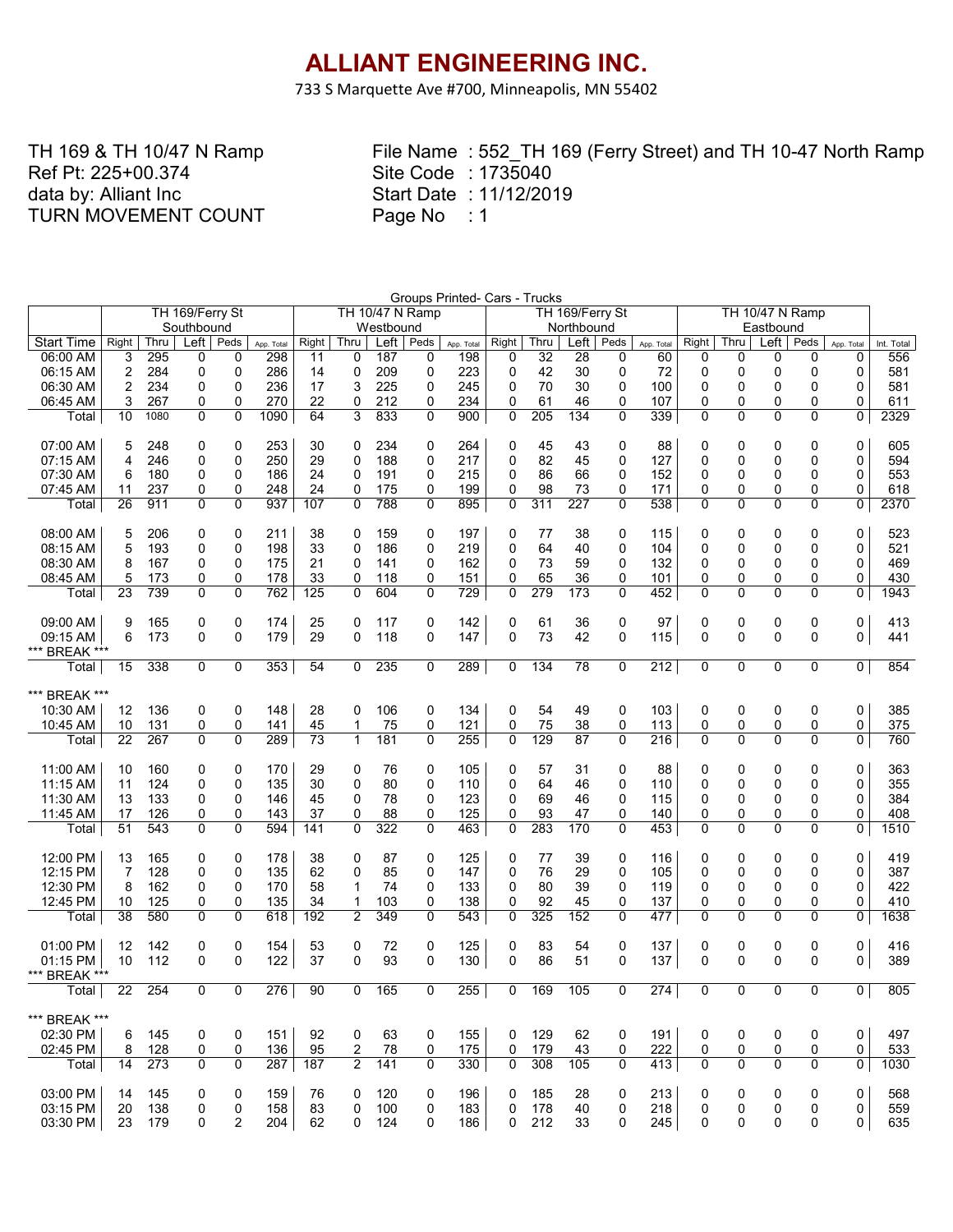733 S Marquette Ave #700, Minneapolis, MN 55402

TH 169 & TH 10/47 N Ramp Ref Pt: 225+00.374 data by: Alliant Inc TURN MOVEMENT COUNT

| TH 169/Ferry St<br><b>TH 10/47 N Ramp</b><br>TH 10/47 N Ramp<br>TH 169/Ferry St<br>Westbound<br>Northbound<br>Eastbound<br>Southbound<br>Left<br>Peds<br>$Left \mid$<br>Left<br>Left<br>Peds<br><b>Start Time</b><br>Right<br>Thru<br>Right<br>Thru<br>Peds<br>Right<br>Thru<br>Peds<br>Right<br>Thru<br>App. Total<br>Int. Total<br>App. Total<br>App. Total<br>App. Total<br>298<br>556<br>295<br>187<br>32<br>60<br>06:00 AM<br>3<br>0<br>0<br>198<br>28<br>0<br>0<br>0<br>11<br>0<br>0<br>0<br>0<br>0<br>0<br>2<br>284<br>0<br>286<br>14<br>209<br>0<br>223<br>0<br>42<br>30<br>0<br>72<br>0<br>0<br>581<br>06:15 AM<br>0<br>0<br>0<br>0<br>0<br>$\overline{2}$<br>234<br>3<br>70<br>06:30 AM<br>0<br>0<br>236<br>17<br>225<br>0<br>245<br>0<br>30<br>0<br>100<br>0<br>0<br>0<br>0<br>0<br>581<br>270<br>06:45 AM<br>3<br>267<br>0<br>22<br>212<br>234<br>0<br>61<br>46<br>107<br>0<br>0<br>0<br>611<br>0<br>0<br>0<br>0<br>0<br>0<br>3<br>0<br>2329<br>10<br>1080<br>0<br>0<br>1090<br>64<br>833<br>900<br>$\Omega$<br>205<br>134<br>0<br>339<br>0<br>$\Omega$<br>$\Omega$<br>$\Omega$<br>0<br>Total<br>07:00 AM<br>253<br>0<br>0<br>5<br>248<br>0<br>0<br>30<br>0<br>234<br>0<br>264<br>0<br>45<br>43<br>88<br>0<br>0<br>0<br>0<br>605<br>4<br>246<br>0<br>250<br>29<br>188<br>0<br>$\Omega$<br>82<br>0<br>127<br>0<br>$\mathbf{0}$<br>0<br>594<br>$07:15$ AM<br>0<br>0<br>217<br>45<br>0<br>0<br>6<br>180<br>0<br>186<br>24<br>0<br>191<br>215<br>0<br>86<br>66<br>0<br>152<br>0<br>0<br>0<br>$\Omega$<br>553<br>07:30 AM<br>0<br>0<br>0<br>07:45 AM<br>237<br>0<br>199<br>98<br>73<br>0<br>0<br>0<br>11<br>0<br>248<br>24<br>0<br>175<br>0<br>0<br>0<br>171<br>0<br>0<br>618<br>$\overline{0}$<br>26<br>$\Omega$<br>788<br>227<br>538<br>$\Omega$<br>$\Omega$<br>$\Omega$<br>0<br>2370<br>911<br>0<br>937<br>107<br>$\mathbf{0}$<br>$\Omega$<br>895<br>0<br>311<br>0<br>Total<br>0<br>523<br>08:00 AM<br>5<br>206<br>0<br>211<br>38<br>159<br>0<br>197<br>0<br>115<br>0<br>0<br>0<br>0<br>0<br>0<br>0<br>77<br>38<br>5<br>0<br>$\mathbf{0}$<br>64<br>0<br>193<br>0<br>198<br>33<br>186<br>0<br>219<br>40<br>0<br>104<br>0<br>0<br>0<br>0<br>521<br>08:15 AM<br>0<br>08:30 AM<br>8<br>167<br>0<br>175<br>21<br>141<br>0<br>162<br>$\Omega$<br>73<br>59<br>0<br>132<br>0<br>0<br>$\Omega$<br>469<br>0<br>0<br>0<br>0<br>5<br>173<br>0<br>178<br>33<br>0<br>118<br>151<br>0<br>65<br>36<br>101<br>0<br>0<br>0<br>430<br>08:45 AM<br>0<br>0<br>0<br>0<br>0<br>739<br>0<br>604<br>0<br>0<br>279<br>173<br>0<br>$\Omega$<br>$\Omega$<br>0<br>1943<br>23<br>0<br>762<br>125<br>0<br>729<br>0<br>452<br>0<br>Total<br>165<br>25<br>142<br>61<br>$\mathbf 0$<br>97<br>0<br>0<br>0<br>0<br>413<br>09:00 AM<br>9<br>0<br>0<br>174<br>0<br>117<br>0<br>0<br>36<br>0<br>0<br>$\mathbf 0$<br>73<br>0<br>0<br>6<br>173<br>0<br>0<br>179<br>29<br>147<br>42<br>0<br>115<br>0<br>0<br>0<br>441<br>09:15 AM<br>0<br>118<br>*** BREAK ***<br>$\overline{134}$<br>78<br>212<br>0<br>854<br>338<br>0<br>0<br>353<br>54<br>0<br>235<br>0<br>289<br>0<br>0<br>0<br>0<br>0<br>0<br>15<br>Total<br>*** BREAK ***<br>136<br>0<br>148<br>28<br>0<br>106<br>0<br>134<br>0<br>54<br>49<br>0<br>103<br>0<br>0<br>0<br>0<br>0<br>385<br>10:30 AM<br>12<br>0<br>45<br>75<br>0<br>0<br>10<br>131<br>0<br>0<br>141<br>1<br>75<br>0<br>121<br>0<br>38<br>0<br>113<br>0<br>0<br>375<br>10:45 AM<br>0<br>$\overline{22}$<br>0<br>$\overline{0}$<br>129<br>216<br>$\overline{0}$<br>$\overline{0}$<br>760<br>267<br>0<br>289<br>73<br>$\mathbf{1}$<br>181<br>255<br>87<br>0<br>$\Omega$<br>0<br>0<br>0<br>Total<br>0<br>363<br>11:00 AM<br>10<br>160<br>0<br>0<br>170<br>0<br>76<br>0<br>105<br>0<br>0<br>88<br>0<br>0<br>0<br>0<br>29<br>57<br>31<br>0<br>$\mathbf 0$<br>355<br>11:15 AM<br>11<br>124<br>0<br>135<br>30<br>$\mathbf 0$<br>80<br>0<br>110<br>64<br>46<br>110<br>$\Omega$<br>0<br>0<br>0<br>0<br>0<br>69<br>384<br>11:30 AM<br>13<br>133<br>0<br>146<br>45<br>$\mathbf 0$<br>78<br>0<br>123<br>0<br>46<br>$\mathbf 0$<br>115<br>0<br>0<br>0<br>0<br>0<br>0<br>0<br>0<br>126<br>0<br>0<br>37<br>0<br>88<br>125<br>$\Omega$<br>93<br>$\mathbf 0$<br>140<br>0<br>0<br>0<br>0<br>408<br>11:45 AM<br>17<br>143<br>47<br>51<br>543<br>0<br>322<br>$\Omega$<br>283<br>170<br>453<br>$\Omega$<br>0<br>$\Omega$<br>594<br>141<br>$\mathbf{0}$<br>463<br>0<br>$\Omega$<br>0<br>$\Omega$<br>0<br>1510<br>Total<br>12:00 PM<br>13<br>165<br>38<br>87<br>0<br>125<br>39<br>0<br>0<br>0<br>0<br>0<br>0<br>419<br>0<br>0<br>178<br>0<br>0<br>77<br>116<br>$\mathbf 0$<br>12:15 PM<br>$\overline{7}$<br>128<br>0<br>135<br>62<br>85<br>147<br>0<br>76<br>29<br>0<br>105<br>0<br>0<br>0<br>$\Omega$<br>387<br>0<br>0<br>0<br>422<br>12:30 PM<br>162<br>0<br>170<br>58<br>74<br>0<br>133<br>0<br>80<br>39<br>119<br>0<br>0<br>0<br>8<br>0<br>1<br>0<br>0<br>0<br>12:45 PM<br>125<br>0<br>135<br>34<br>1<br>103<br>0<br>138<br>0<br>92<br>45<br>0<br>137<br>0<br>0<br>0<br>0<br>0<br>410<br>10<br>0<br>38<br>0<br>$\overline{2}$<br>349<br>0<br>152<br>477<br>$\Omega$<br>$\Omega$<br>$\mathbf{0}$<br>1638<br>580<br>0<br>618<br>192<br>543<br>0<br>325<br>0<br>0<br>0<br>Total<br>01:00 PM<br>12<br>142<br>0<br>72<br>0<br>125<br>83<br>54<br>0<br>137<br>0<br>0<br>0<br>0<br>0<br>0<br>154<br>53<br>0<br>0<br>416<br>37<br>93<br>130<br>0<br>51<br>0<br>0<br>0<br>10<br>112<br>0<br>0<br>122<br>0<br>0<br>86<br>0<br>137<br>0<br>0<br>389<br>01:15 PM<br>*** BREAK ***<br>$\overline{0}$<br>255<br>$\overline{276}$ 90<br>105<br>165<br>169<br>0<br>274<br> 0 <br>22 254<br>0<br>0<br>0<br>$ $ otal $ $<br>$\mathbf{0}$<br>0<br>0<br>0<br>0<br>805<br>*** BREAK ***<br>02:30 PM<br>145<br>151<br>92<br>63<br>155<br>129<br>0<br>191<br>0<br>0<br>497<br>0<br>0<br>0<br>0<br>0<br>62<br>0<br>0<br>0<br>6<br>02:45 PM<br>128<br>0<br>136<br>95<br>$\overline{2}$<br>78<br>0<br>175<br>179<br>0<br>222<br>0<br>0<br>0<br>533<br>8<br>0<br>0<br>43<br>0<br>0<br>273<br>308<br>413<br>$\Omega$<br>0<br>0<br>0<br>0<br>287<br>187<br>$\overline{2}$<br>0<br>330<br>0<br>105<br>0<br>0<br>$\Omega$<br>1030<br>Total<br>14<br>141<br>03:00 PM<br>0<br>568<br>14<br>145<br>0<br>159<br>76<br>120<br>0<br>196<br>185<br>0<br>213<br>0<br>0<br>0<br>0<br>0<br>28<br>0<br>0<br>03:15 PM<br>20<br>138<br>83<br>100<br>0<br>0<br>178<br>40<br>0<br>0<br>0<br>0<br>559<br>0<br>0<br>158<br>0<br>183<br>218<br>0<br>0 | Groups Printed- Cars - Trucks |    |     |  |   |  |    |  |     |  |  |  |     |    |     |  |  |  |     |
|-----------------------------------------------------------------------------------------------------------------------------------------------------------------------------------------------------------------------------------------------------------------------------------------------------------------------------------------------------------------------------------------------------------------------------------------------------------------------------------------------------------------------------------------------------------------------------------------------------------------------------------------------------------------------------------------------------------------------------------------------------------------------------------------------------------------------------------------------------------------------------------------------------------------------------------------------------------------------------------------------------------------------------------------------------------------------------------------------------------------------------------------------------------------------------------------------------------------------------------------------------------------------------------------------------------------------------------------------------------------------------------------------------------------------------------------------------------------------------------------------------------------------------------------------------------------------------------------------------------------------------------------------------------------------------------------------------------------------------------------------------------------------------------------------------------------------------------------------------------------------------------------------------------------------------------------------------------------------------------------------------------------------------------------------------------------------------------------------------------------------------------------------------------------------------------------------------------------------------------------------------------------------------------------------------------------------------------------------------------------------------------------------------------------------------------------------------------------------------------------------------------------------------------------------------------------------------------------------------------------------------------------------------------------------------------------------------------------------------------------------------------------------------------------------------------------------------------------------------------------------------------------------------------------------------------------------------------------------------------------------------------------------------------------------------------------------------------------------------------------------------------------------------------------------------------------------------------------------------------------------------------------------------------------------------------------------------------------------------------------------------------------------------------------------------------------------------------------------------------------------------------------------------------------------------------------------------------------------------------------------------------------------------------------------------------------------------------------------------------------------------------------------------------------------------------------------------------------------------------------------------------------------------------------------------------------------------------------------------------------------------------------------------------------------------------------------------------------------------------------------------------------------------------------------------------------------------------------------------------------------------------------------------------------------------------------------------------------------------------------------------------------------------------------------------------------------------------------------------------------------------------------------------------------------------------------------------------------------------------------------------------------------------------------------------------------------------------------------------------------------------------------------------------------------------------------------------------------------------------------------------------------------------------------------------------------------------------------------------------------------------------------------------------------------------------------------------------------------------------------------------------------------------------------------------------------------------------------------------------------------------------------------------------------------------------------------------------------------------------------------------------------------------------------------------------------------------------------------------------------------------------------------------------------------------------------------------------------------------------------------------------------------------------------------------------------------------------------------------------------------------------------------------------------------------------------------------------------------------------------------------------------------------------------------------------------------------------------------------------------------------------------------------------------------------------------------------------------------------------------------------------------------------------------------------------------------------------------------------------------------------------------------------------------------------------------------------------------------------------------------|-------------------------------|----|-----|--|---|--|----|--|-----|--|--|--|-----|----|-----|--|--|--|-----|
|                                                                                                                                                                                                                                                                                                                                                                                                                                                                                                                                                                                                                                                                                                                                                                                                                                                                                                                                                                                                                                                                                                                                                                                                                                                                                                                                                                                                                                                                                                                                                                                                                                                                                                                                                                                                                                                                                                                                                                                                                                                                                                                                                                                                                                                                                                                                                                                                                                                                                                                                                                                                                                                                                                                                                                                                                                                                                                                                                                                                                                                                                                                                                                                                                                                                                                                                                                                                                                                                                                                                                                                                                                                                                                                                                                                                                                                                                                                                                                                                                                                                                                                                                                                                                                                                                                                                                                                                                                                                                                                                                                                                                                                                                                                                                                                                                                                                                                                                                                                                                                                                                                                                                                                                                                                                                                                                                                                                                                                                                                                                                                                                                                                                                                                                                                                                                                                                                                                                                                                                                                                                                                                                                                                                                                                                                                                                                                       |                               |    |     |  |   |  |    |  |     |  |  |  |     |    |     |  |  |  |     |
|                                                                                                                                                                                                                                                                                                                                                                                                                                                                                                                                                                                                                                                                                                                                                                                                                                                                                                                                                                                                                                                                                                                                                                                                                                                                                                                                                                                                                                                                                                                                                                                                                                                                                                                                                                                                                                                                                                                                                                                                                                                                                                                                                                                                                                                                                                                                                                                                                                                                                                                                                                                                                                                                                                                                                                                                                                                                                                                                                                                                                                                                                                                                                                                                                                                                                                                                                                                                                                                                                                                                                                                                                                                                                                                                                                                                                                                                                                                                                                                                                                                                                                                                                                                                                                                                                                                                                                                                                                                                                                                                                                                                                                                                                                                                                                                                                                                                                                                                                                                                                                                                                                                                                                                                                                                                                                                                                                                                                                                                                                                                                                                                                                                                                                                                                                                                                                                                                                                                                                                                                                                                                                                                                                                                                                                                                                                                                                       |                               |    |     |  |   |  |    |  |     |  |  |  |     |    |     |  |  |  |     |
|                                                                                                                                                                                                                                                                                                                                                                                                                                                                                                                                                                                                                                                                                                                                                                                                                                                                                                                                                                                                                                                                                                                                                                                                                                                                                                                                                                                                                                                                                                                                                                                                                                                                                                                                                                                                                                                                                                                                                                                                                                                                                                                                                                                                                                                                                                                                                                                                                                                                                                                                                                                                                                                                                                                                                                                                                                                                                                                                                                                                                                                                                                                                                                                                                                                                                                                                                                                                                                                                                                                                                                                                                                                                                                                                                                                                                                                                                                                                                                                                                                                                                                                                                                                                                                                                                                                                                                                                                                                                                                                                                                                                                                                                                                                                                                                                                                                                                                                                                                                                                                                                                                                                                                                                                                                                                                                                                                                                                                                                                                                                                                                                                                                                                                                                                                                                                                                                                                                                                                                                                                                                                                                                                                                                                                                                                                                                                                       |                               |    |     |  |   |  |    |  |     |  |  |  |     |    |     |  |  |  |     |
|                                                                                                                                                                                                                                                                                                                                                                                                                                                                                                                                                                                                                                                                                                                                                                                                                                                                                                                                                                                                                                                                                                                                                                                                                                                                                                                                                                                                                                                                                                                                                                                                                                                                                                                                                                                                                                                                                                                                                                                                                                                                                                                                                                                                                                                                                                                                                                                                                                                                                                                                                                                                                                                                                                                                                                                                                                                                                                                                                                                                                                                                                                                                                                                                                                                                                                                                                                                                                                                                                                                                                                                                                                                                                                                                                                                                                                                                                                                                                                                                                                                                                                                                                                                                                                                                                                                                                                                                                                                                                                                                                                                                                                                                                                                                                                                                                                                                                                                                                                                                                                                                                                                                                                                                                                                                                                                                                                                                                                                                                                                                                                                                                                                                                                                                                                                                                                                                                                                                                                                                                                                                                                                                                                                                                                                                                                                                                                       |                               |    |     |  |   |  |    |  |     |  |  |  |     |    |     |  |  |  |     |
|                                                                                                                                                                                                                                                                                                                                                                                                                                                                                                                                                                                                                                                                                                                                                                                                                                                                                                                                                                                                                                                                                                                                                                                                                                                                                                                                                                                                                                                                                                                                                                                                                                                                                                                                                                                                                                                                                                                                                                                                                                                                                                                                                                                                                                                                                                                                                                                                                                                                                                                                                                                                                                                                                                                                                                                                                                                                                                                                                                                                                                                                                                                                                                                                                                                                                                                                                                                                                                                                                                                                                                                                                                                                                                                                                                                                                                                                                                                                                                                                                                                                                                                                                                                                                                                                                                                                                                                                                                                                                                                                                                                                                                                                                                                                                                                                                                                                                                                                                                                                                                                                                                                                                                                                                                                                                                                                                                                                                                                                                                                                                                                                                                                                                                                                                                                                                                                                                                                                                                                                                                                                                                                                                                                                                                                                                                                                                                       |                               |    |     |  |   |  |    |  |     |  |  |  |     |    |     |  |  |  |     |
|                                                                                                                                                                                                                                                                                                                                                                                                                                                                                                                                                                                                                                                                                                                                                                                                                                                                                                                                                                                                                                                                                                                                                                                                                                                                                                                                                                                                                                                                                                                                                                                                                                                                                                                                                                                                                                                                                                                                                                                                                                                                                                                                                                                                                                                                                                                                                                                                                                                                                                                                                                                                                                                                                                                                                                                                                                                                                                                                                                                                                                                                                                                                                                                                                                                                                                                                                                                                                                                                                                                                                                                                                                                                                                                                                                                                                                                                                                                                                                                                                                                                                                                                                                                                                                                                                                                                                                                                                                                                                                                                                                                                                                                                                                                                                                                                                                                                                                                                                                                                                                                                                                                                                                                                                                                                                                                                                                                                                                                                                                                                                                                                                                                                                                                                                                                                                                                                                                                                                                                                                                                                                                                                                                                                                                                                                                                                                                       |                               |    |     |  |   |  |    |  |     |  |  |  |     |    |     |  |  |  |     |
|                                                                                                                                                                                                                                                                                                                                                                                                                                                                                                                                                                                                                                                                                                                                                                                                                                                                                                                                                                                                                                                                                                                                                                                                                                                                                                                                                                                                                                                                                                                                                                                                                                                                                                                                                                                                                                                                                                                                                                                                                                                                                                                                                                                                                                                                                                                                                                                                                                                                                                                                                                                                                                                                                                                                                                                                                                                                                                                                                                                                                                                                                                                                                                                                                                                                                                                                                                                                                                                                                                                                                                                                                                                                                                                                                                                                                                                                                                                                                                                                                                                                                                                                                                                                                                                                                                                                                                                                                                                                                                                                                                                                                                                                                                                                                                                                                                                                                                                                                                                                                                                                                                                                                                                                                                                                                                                                                                                                                                                                                                                                                                                                                                                                                                                                                                                                                                                                                                                                                                                                                                                                                                                                                                                                                                                                                                                                                                       |                               |    |     |  |   |  |    |  |     |  |  |  |     |    |     |  |  |  |     |
|                                                                                                                                                                                                                                                                                                                                                                                                                                                                                                                                                                                                                                                                                                                                                                                                                                                                                                                                                                                                                                                                                                                                                                                                                                                                                                                                                                                                                                                                                                                                                                                                                                                                                                                                                                                                                                                                                                                                                                                                                                                                                                                                                                                                                                                                                                                                                                                                                                                                                                                                                                                                                                                                                                                                                                                                                                                                                                                                                                                                                                                                                                                                                                                                                                                                                                                                                                                                                                                                                                                                                                                                                                                                                                                                                                                                                                                                                                                                                                                                                                                                                                                                                                                                                                                                                                                                                                                                                                                                                                                                                                                                                                                                                                                                                                                                                                                                                                                                                                                                                                                                                                                                                                                                                                                                                                                                                                                                                                                                                                                                                                                                                                                                                                                                                                                                                                                                                                                                                                                                                                                                                                                                                                                                                                                                                                                                                                       |                               |    |     |  |   |  |    |  |     |  |  |  |     |    |     |  |  |  |     |
|                                                                                                                                                                                                                                                                                                                                                                                                                                                                                                                                                                                                                                                                                                                                                                                                                                                                                                                                                                                                                                                                                                                                                                                                                                                                                                                                                                                                                                                                                                                                                                                                                                                                                                                                                                                                                                                                                                                                                                                                                                                                                                                                                                                                                                                                                                                                                                                                                                                                                                                                                                                                                                                                                                                                                                                                                                                                                                                                                                                                                                                                                                                                                                                                                                                                                                                                                                                                                                                                                                                                                                                                                                                                                                                                                                                                                                                                                                                                                                                                                                                                                                                                                                                                                                                                                                                                                                                                                                                                                                                                                                                                                                                                                                                                                                                                                                                                                                                                                                                                                                                                                                                                                                                                                                                                                                                                                                                                                                                                                                                                                                                                                                                                                                                                                                                                                                                                                                                                                                                                                                                                                                                                                                                                                                                                                                                                                                       |                               |    |     |  |   |  |    |  |     |  |  |  |     |    |     |  |  |  |     |
|                                                                                                                                                                                                                                                                                                                                                                                                                                                                                                                                                                                                                                                                                                                                                                                                                                                                                                                                                                                                                                                                                                                                                                                                                                                                                                                                                                                                                                                                                                                                                                                                                                                                                                                                                                                                                                                                                                                                                                                                                                                                                                                                                                                                                                                                                                                                                                                                                                                                                                                                                                                                                                                                                                                                                                                                                                                                                                                                                                                                                                                                                                                                                                                                                                                                                                                                                                                                                                                                                                                                                                                                                                                                                                                                                                                                                                                                                                                                                                                                                                                                                                                                                                                                                                                                                                                                                                                                                                                                                                                                                                                                                                                                                                                                                                                                                                                                                                                                                                                                                                                                                                                                                                                                                                                                                                                                                                                                                                                                                                                                                                                                                                                                                                                                                                                                                                                                                                                                                                                                                                                                                                                                                                                                                                                                                                                                                                       |                               |    |     |  |   |  |    |  |     |  |  |  |     |    |     |  |  |  |     |
|                                                                                                                                                                                                                                                                                                                                                                                                                                                                                                                                                                                                                                                                                                                                                                                                                                                                                                                                                                                                                                                                                                                                                                                                                                                                                                                                                                                                                                                                                                                                                                                                                                                                                                                                                                                                                                                                                                                                                                                                                                                                                                                                                                                                                                                                                                                                                                                                                                                                                                                                                                                                                                                                                                                                                                                                                                                                                                                                                                                                                                                                                                                                                                                                                                                                                                                                                                                                                                                                                                                                                                                                                                                                                                                                                                                                                                                                                                                                                                                                                                                                                                                                                                                                                                                                                                                                                                                                                                                                                                                                                                                                                                                                                                                                                                                                                                                                                                                                                                                                                                                                                                                                                                                                                                                                                                                                                                                                                                                                                                                                                                                                                                                                                                                                                                                                                                                                                                                                                                                                                                                                                                                                                                                                                                                                                                                                                                       |                               |    |     |  |   |  |    |  |     |  |  |  |     |    |     |  |  |  |     |
|                                                                                                                                                                                                                                                                                                                                                                                                                                                                                                                                                                                                                                                                                                                                                                                                                                                                                                                                                                                                                                                                                                                                                                                                                                                                                                                                                                                                                                                                                                                                                                                                                                                                                                                                                                                                                                                                                                                                                                                                                                                                                                                                                                                                                                                                                                                                                                                                                                                                                                                                                                                                                                                                                                                                                                                                                                                                                                                                                                                                                                                                                                                                                                                                                                                                                                                                                                                                                                                                                                                                                                                                                                                                                                                                                                                                                                                                                                                                                                                                                                                                                                                                                                                                                                                                                                                                                                                                                                                                                                                                                                                                                                                                                                                                                                                                                                                                                                                                                                                                                                                                                                                                                                                                                                                                                                                                                                                                                                                                                                                                                                                                                                                                                                                                                                                                                                                                                                                                                                                                                                                                                                                                                                                                                                                                                                                                                                       |                               |    |     |  |   |  |    |  |     |  |  |  |     |    |     |  |  |  |     |
|                                                                                                                                                                                                                                                                                                                                                                                                                                                                                                                                                                                                                                                                                                                                                                                                                                                                                                                                                                                                                                                                                                                                                                                                                                                                                                                                                                                                                                                                                                                                                                                                                                                                                                                                                                                                                                                                                                                                                                                                                                                                                                                                                                                                                                                                                                                                                                                                                                                                                                                                                                                                                                                                                                                                                                                                                                                                                                                                                                                                                                                                                                                                                                                                                                                                                                                                                                                                                                                                                                                                                                                                                                                                                                                                                                                                                                                                                                                                                                                                                                                                                                                                                                                                                                                                                                                                                                                                                                                                                                                                                                                                                                                                                                                                                                                                                                                                                                                                                                                                                                                                                                                                                                                                                                                                                                                                                                                                                                                                                                                                                                                                                                                                                                                                                                                                                                                                                                                                                                                                                                                                                                                                                                                                                                                                                                                                                                       |                               |    |     |  |   |  |    |  |     |  |  |  |     |    |     |  |  |  |     |
|                                                                                                                                                                                                                                                                                                                                                                                                                                                                                                                                                                                                                                                                                                                                                                                                                                                                                                                                                                                                                                                                                                                                                                                                                                                                                                                                                                                                                                                                                                                                                                                                                                                                                                                                                                                                                                                                                                                                                                                                                                                                                                                                                                                                                                                                                                                                                                                                                                                                                                                                                                                                                                                                                                                                                                                                                                                                                                                                                                                                                                                                                                                                                                                                                                                                                                                                                                                                                                                                                                                                                                                                                                                                                                                                                                                                                                                                                                                                                                                                                                                                                                                                                                                                                                                                                                                                                                                                                                                                                                                                                                                                                                                                                                                                                                                                                                                                                                                                                                                                                                                                                                                                                                                                                                                                                                                                                                                                                                                                                                                                                                                                                                                                                                                                                                                                                                                                                                                                                                                                                                                                                                                                                                                                                                                                                                                                                                       |                               |    |     |  |   |  |    |  |     |  |  |  |     |    |     |  |  |  |     |
|                                                                                                                                                                                                                                                                                                                                                                                                                                                                                                                                                                                                                                                                                                                                                                                                                                                                                                                                                                                                                                                                                                                                                                                                                                                                                                                                                                                                                                                                                                                                                                                                                                                                                                                                                                                                                                                                                                                                                                                                                                                                                                                                                                                                                                                                                                                                                                                                                                                                                                                                                                                                                                                                                                                                                                                                                                                                                                                                                                                                                                                                                                                                                                                                                                                                                                                                                                                                                                                                                                                                                                                                                                                                                                                                                                                                                                                                                                                                                                                                                                                                                                                                                                                                                                                                                                                                                                                                                                                                                                                                                                                                                                                                                                                                                                                                                                                                                                                                                                                                                                                                                                                                                                                                                                                                                                                                                                                                                                                                                                                                                                                                                                                                                                                                                                                                                                                                                                                                                                                                                                                                                                                                                                                                                                                                                                                                                                       |                               |    |     |  |   |  |    |  |     |  |  |  |     |    |     |  |  |  |     |
|                                                                                                                                                                                                                                                                                                                                                                                                                                                                                                                                                                                                                                                                                                                                                                                                                                                                                                                                                                                                                                                                                                                                                                                                                                                                                                                                                                                                                                                                                                                                                                                                                                                                                                                                                                                                                                                                                                                                                                                                                                                                                                                                                                                                                                                                                                                                                                                                                                                                                                                                                                                                                                                                                                                                                                                                                                                                                                                                                                                                                                                                                                                                                                                                                                                                                                                                                                                                                                                                                                                                                                                                                                                                                                                                                                                                                                                                                                                                                                                                                                                                                                                                                                                                                                                                                                                                                                                                                                                                                                                                                                                                                                                                                                                                                                                                                                                                                                                                                                                                                                                                                                                                                                                                                                                                                                                                                                                                                                                                                                                                                                                                                                                                                                                                                                                                                                                                                                                                                                                                                                                                                                                                                                                                                                                                                                                                                                       |                               |    |     |  |   |  |    |  |     |  |  |  |     |    |     |  |  |  |     |
|                                                                                                                                                                                                                                                                                                                                                                                                                                                                                                                                                                                                                                                                                                                                                                                                                                                                                                                                                                                                                                                                                                                                                                                                                                                                                                                                                                                                                                                                                                                                                                                                                                                                                                                                                                                                                                                                                                                                                                                                                                                                                                                                                                                                                                                                                                                                                                                                                                                                                                                                                                                                                                                                                                                                                                                                                                                                                                                                                                                                                                                                                                                                                                                                                                                                                                                                                                                                                                                                                                                                                                                                                                                                                                                                                                                                                                                                                                                                                                                                                                                                                                                                                                                                                                                                                                                                                                                                                                                                                                                                                                                                                                                                                                                                                                                                                                                                                                                                                                                                                                                                                                                                                                                                                                                                                                                                                                                                                                                                                                                                                                                                                                                                                                                                                                                                                                                                                                                                                                                                                                                                                                                                                                                                                                                                                                                                                                       |                               |    |     |  |   |  |    |  |     |  |  |  |     |    |     |  |  |  |     |
|                                                                                                                                                                                                                                                                                                                                                                                                                                                                                                                                                                                                                                                                                                                                                                                                                                                                                                                                                                                                                                                                                                                                                                                                                                                                                                                                                                                                                                                                                                                                                                                                                                                                                                                                                                                                                                                                                                                                                                                                                                                                                                                                                                                                                                                                                                                                                                                                                                                                                                                                                                                                                                                                                                                                                                                                                                                                                                                                                                                                                                                                                                                                                                                                                                                                                                                                                                                                                                                                                                                                                                                                                                                                                                                                                                                                                                                                                                                                                                                                                                                                                                                                                                                                                                                                                                                                                                                                                                                                                                                                                                                                                                                                                                                                                                                                                                                                                                                                                                                                                                                                                                                                                                                                                                                                                                                                                                                                                                                                                                                                                                                                                                                                                                                                                                                                                                                                                                                                                                                                                                                                                                                                                                                                                                                                                                                                                                       |                               |    |     |  |   |  |    |  |     |  |  |  |     |    |     |  |  |  |     |
|                                                                                                                                                                                                                                                                                                                                                                                                                                                                                                                                                                                                                                                                                                                                                                                                                                                                                                                                                                                                                                                                                                                                                                                                                                                                                                                                                                                                                                                                                                                                                                                                                                                                                                                                                                                                                                                                                                                                                                                                                                                                                                                                                                                                                                                                                                                                                                                                                                                                                                                                                                                                                                                                                                                                                                                                                                                                                                                                                                                                                                                                                                                                                                                                                                                                                                                                                                                                                                                                                                                                                                                                                                                                                                                                                                                                                                                                                                                                                                                                                                                                                                                                                                                                                                                                                                                                                                                                                                                                                                                                                                                                                                                                                                                                                                                                                                                                                                                                                                                                                                                                                                                                                                                                                                                                                                                                                                                                                                                                                                                                                                                                                                                                                                                                                                                                                                                                                                                                                                                                                                                                                                                                                                                                                                                                                                                                                                       |                               |    |     |  |   |  |    |  |     |  |  |  |     |    |     |  |  |  |     |
|                                                                                                                                                                                                                                                                                                                                                                                                                                                                                                                                                                                                                                                                                                                                                                                                                                                                                                                                                                                                                                                                                                                                                                                                                                                                                                                                                                                                                                                                                                                                                                                                                                                                                                                                                                                                                                                                                                                                                                                                                                                                                                                                                                                                                                                                                                                                                                                                                                                                                                                                                                                                                                                                                                                                                                                                                                                                                                                                                                                                                                                                                                                                                                                                                                                                                                                                                                                                                                                                                                                                                                                                                                                                                                                                                                                                                                                                                                                                                                                                                                                                                                                                                                                                                                                                                                                                                                                                                                                                                                                                                                                                                                                                                                                                                                                                                                                                                                                                                                                                                                                                                                                                                                                                                                                                                                                                                                                                                                                                                                                                                                                                                                                                                                                                                                                                                                                                                                                                                                                                                                                                                                                                                                                                                                                                                                                                                                       |                               |    |     |  |   |  |    |  |     |  |  |  |     |    |     |  |  |  |     |
|                                                                                                                                                                                                                                                                                                                                                                                                                                                                                                                                                                                                                                                                                                                                                                                                                                                                                                                                                                                                                                                                                                                                                                                                                                                                                                                                                                                                                                                                                                                                                                                                                                                                                                                                                                                                                                                                                                                                                                                                                                                                                                                                                                                                                                                                                                                                                                                                                                                                                                                                                                                                                                                                                                                                                                                                                                                                                                                                                                                                                                                                                                                                                                                                                                                                                                                                                                                                                                                                                                                                                                                                                                                                                                                                                                                                                                                                                                                                                                                                                                                                                                                                                                                                                                                                                                                                                                                                                                                                                                                                                                                                                                                                                                                                                                                                                                                                                                                                                                                                                                                                                                                                                                                                                                                                                                                                                                                                                                                                                                                                                                                                                                                                                                                                                                                                                                                                                                                                                                                                                                                                                                                                                                                                                                                                                                                                                                       |                               |    |     |  |   |  |    |  |     |  |  |  |     |    |     |  |  |  |     |
|                                                                                                                                                                                                                                                                                                                                                                                                                                                                                                                                                                                                                                                                                                                                                                                                                                                                                                                                                                                                                                                                                                                                                                                                                                                                                                                                                                                                                                                                                                                                                                                                                                                                                                                                                                                                                                                                                                                                                                                                                                                                                                                                                                                                                                                                                                                                                                                                                                                                                                                                                                                                                                                                                                                                                                                                                                                                                                                                                                                                                                                                                                                                                                                                                                                                                                                                                                                                                                                                                                                                                                                                                                                                                                                                                                                                                                                                                                                                                                                                                                                                                                                                                                                                                                                                                                                                                                                                                                                                                                                                                                                                                                                                                                                                                                                                                                                                                                                                                                                                                                                                                                                                                                                                                                                                                                                                                                                                                                                                                                                                                                                                                                                                                                                                                                                                                                                                                                                                                                                                                                                                                                                                                                                                                                                                                                                                                                       |                               |    |     |  |   |  |    |  |     |  |  |  |     |    |     |  |  |  |     |
|                                                                                                                                                                                                                                                                                                                                                                                                                                                                                                                                                                                                                                                                                                                                                                                                                                                                                                                                                                                                                                                                                                                                                                                                                                                                                                                                                                                                                                                                                                                                                                                                                                                                                                                                                                                                                                                                                                                                                                                                                                                                                                                                                                                                                                                                                                                                                                                                                                                                                                                                                                                                                                                                                                                                                                                                                                                                                                                                                                                                                                                                                                                                                                                                                                                                                                                                                                                                                                                                                                                                                                                                                                                                                                                                                                                                                                                                                                                                                                                                                                                                                                                                                                                                                                                                                                                                                                                                                                                                                                                                                                                                                                                                                                                                                                                                                                                                                                                                                                                                                                                                                                                                                                                                                                                                                                                                                                                                                                                                                                                                                                                                                                                                                                                                                                                                                                                                                                                                                                                                                                                                                                                                                                                                                                                                                                                                                                       |                               |    |     |  |   |  |    |  |     |  |  |  |     |    |     |  |  |  |     |
|                                                                                                                                                                                                                                                                                                                                                                                                                                                                                                                                                                                                                                                                                                                                                                                                                                                                                                                                                                                                                                                                                                                                                                                                                                                                                                                                                                                                                                                                                                                                                                                                                                                                                                                                                                                                                                                                                                                                                                                                                                                                                                                                                                                                                                                                                                                                                                                                                                                                                                                                                                                                                                                                                                                                                                                                                                                                                                                                                                                                                                                                                                                                                                                                                                                                                                                                                                                                                                                                                                                                                                                                                                                                                                                                                                                                                                                                                                                                                                                                                                                                                                                                                                                                                                                                                                                                                                                                                                                                                                                                                                                                                                                                                                                                                                                                                                                                                                                                                                                                                                                                                                                                                                                                                                                                                                                                                                                                                                                                                                                                                                                                                                                                                                                                                                                                                                                                                                                                                                                                                                                                                                                                                                                                                                                                                                                                                                       |                               |    |     |  |   |  |    |  |     |  |  |  |     |    |     |  |  |  |     |
|                                                                                                                                                                                                                                                                                                                                                                                                                                                                                                                                                                                                                                                                                                                                                                                                                                                                                                                                                                                                                                                                                                                                                                                                                                                                                                                                                                                                                                                                                                                                                                                                                                                                                                                                                                                                                                                                                                                                                                                                                                                                                                                                                                                                                                                                                                                                                                                                                                                                                                                                                                                                                                                                                                                                                                                                                                                                                                                                                                                                                                                                                                                                                                                                                                                                                                                                                                                                                                                                                                                                                                                                                                                                                                                                                                                                                                                                                                                                                                                                                                                                                                                                                                                                                                                                                                                                                                                                                                                                                                                                                                                                                                                                                                                                                                                                                                                                                                                                                                                                                                                                                                                                                                                                                                                                                                                                                                                                                                                                                                                                                                                                                                                                                                                                                                                                                                                                                                                                                                                                                                                                                                                                                                                                                                                                                                                                                                       |                               |    |     |  |   |  |    |  |     |  |  |  |     |    |     |  |  |  |     |
|                                                                                                                                                                                                                                                                                                                                                                                                                                                                                                                                                                                                                                                                                                                                                                                                                                                                                                                                                                                                                                                                                                                                                                                                                                                                                                                                                                                                                                                                                                                                                                                                                                                                                                                                                                                                                                                                                                                                                                                                                                                                                                                                                                                                                                                                                                                                                                                                                                                                                                                                                                                                                                                                                                                                                                                                                                                                                                                                                                                                                                                                                                                                                                                                                                                                                                                                                                                                                                                                                                                                                                                                                                                                                                                                                                                                                                                                                                                                                                                                                                                                                                                                                                                                                                                                                                                                                                                                                                                                                                                                                                                                                                                                                                                                                                                                                                                                                                                                                                                                                                                                                                                                                                                                                                                                                                                                                                                                                                                                                                                                                                                                                                                                                                                                                                                                                                                                                                                                                                                                                                                                                                                                                                                                                                                                                                                                                                       |                               |    |     |  |   |  |    |  |     |  |  |  |     |    |     |  |  |  |     |
|                                                                                                                                                                                                                                                                                                                                                                                                                                                                                                                                                                                                                                                                                                                                                                                                                                                                                                                                                                                                                                                                                                                                                                                                                                                                                                                                                                                                                                                                                                                                                                                                                                                                                                                                                                                                                                                                                                                                                                                                                                                                                                                                                                                                                                                                                                                                                                                                                                                                                                                                                                                                                                                                                                                                                                                                                                                                                                                                                                                                                                                                                                                                                                                                                                                                                                                                                                                                                                                                                                                                                                                                                                                                                                                                                                                                                                                                                                                                                                                                                                                                                                                                                                                                                                                                                                                                                                                                                                                                                                                                                                                                                                                                                                                                                                                                                                                                                                                                                                                                                                                                                                                                                                                                                                                                                                                                                                                                                                                                                                                                                                                                                                                                                                                                                                                                                                                                                                                                                                                                                                                                                                                                                                                                                                                                                                                                                                       |                               |    |     |  |   |  |    |  |     |  |  |  |     |    |     |  |  |  |     |
|                                                                                                                                                                                                                                                                                                                                                                                                                                                                                                                                                                                                                                                                                                                                                                                                                                                                                                                                                                                                                                                                                                                                                                                                                                                                                                                                                                                                                                                                                                                                                                                                                                                                                                                                                                                                                                                                                                                                                                                                                                                                                                                                                                                                                                                                                                                                                                                                                                                                                                                                                                                                                                                                                                                                                                                                                                                                                                                                                                                                                                                                                                                                                                                                                                                                                                                                                                                                                                                                                                                                                                                                                                                                                                                                                                                                                                                                                                                                                                                                                                                                                                                                                                                                                                                                                                                                                                                                                                                                                                                                                                                                                                                                                                                                                                                                                                                                                                                                                                                                                                                                                                                                                                                                                                                                                                                                                                                                                                                                                                                                                                                                                                                                                                                                                                                                                                                                                                                                                                                                                                                                                                                                                                                                                                                                                                                                                                       |                               |    |     |  |   |  |    |  |     |  |  |  |     |    |     |  |  |  |     |
|                                                                                                                                                                                                                                                                                                                                                                                                                                                                                                                                                                                                                                                                                                                                                                                                                                                                                                                                                                                                                                                                                                                                                                                                                                                                                                                                                                                                                                                                                                                                                                                                                                                                                                                                                                                                                                                                                                                                                                                                                                                                                                                                                                                                                                                                                                                                                                                                                                                                                                                                                                                                                                                                                                                                                                                                                                                                                                                                                                                                                                                                                                                                                                                                                                                                                                                                                                                                                                                                                                                                                                                                                                                                                                                                                                                                                                                                                                                                                                                                                                                                                                                                                                                                                                                                                                                                                                                                                                                                                                                                                                                                                                                                                                                                                                                                                                                                                                                                                                                                                                                                                                                                                                                                                                                                                                                                                                                                                                                                                                                                                                                                                                                                                                                                                                                                                                                                                                                                                                                                                                                                                                                                                                                                                                                                                                                                                                       |                               |    |     |  |   |  |    |  |     |  |  |  |     |    |     |  |  |  |     |
|                                                                                                                                                                                                                                                                                                                                                                                                                                                                                                                                                                                                                                                                                                                                                                                                                                                                                                                                                                                                                                                                                                                                                                                                                                                                                                                                                                                                                                                                                                                                                                                                                                                                                                                                                                                                                                                                                                                                                                                                                                                                                                                                                                                                                                                                                                                                                                                                                                                                                                                                                                                                                                                                                                                                                                                                                                                                                                                                                                                                                                                                                                                                                                                                                                                                                                                                                                                                                                                                                                                                                                                                                                                                                                                                                                                                                                                                                                                                                                                                                                                                                                                                                                                                                                                                                                                                                                                                                                                                                                                                                                                                                                                                                                                                                                                                                                                                                                                                                                                                                                                                                                                                                                                                                                                                                                                                                                                                                                                                                                                                                                                                                                                                                                                                                                                                                                                                                                                                                                                                                                                                                                                                                                                                                                                                                                                                                                       |                               |    |     |  |   |  |    |  |     |  |  |  |     |    |     |  |  |  |     |
|                                                                                                                                                                                                                                                                                                                                                                                                                                                                                                                                                                                                                                                                                                                                                                                                                                                                                                                                                                                                                                                                                                                                                                                                                                                                                                                                                                                                                                                                                                                                                                                                                                                                                                                                                                                                                                                                                                                                                                                                                                                                                                                                                                                                                                                                                                                                                                                                                                                                                                                                                                                                                                                                                                                                                                                                                                                                                                                                                                                                                                                                                                                                                                                                                                                                                                                                                                                                                                                                                                                                                                                                                                                                                                                                                                                                                                                                                                                                                                                                                                                                                                                                                                                                                                                                                                                                                                                                                                                                                                                                                                                                                                                                                                                                                                                                                                                                                                                                                                                                                                                                                                                                                                                                                                                                                                                                                                                                                                                                                                                                                                                                                                                                                                                                                                                                                                                                                                                                                                                                                                                                                                                                                                                                                                                                                                                                                                       |                               |    |     |  |   |  |    |  |     |  |  |  |     |    |     |  |  |  |     |
|                                                                                                                                                                                                                                                                                                                                                                                                                                                                                                                                                                                                                                                                                                                                                                                                                                                                                                                                                                                                                                                                                                                                                                                                                                                                                                                                                                                                                                                                                                                                                                                                                                                                                                                                                                                                                                                                                                                                                                                                                                                                                                                                                                                                                                                                                                                                                                                                                                                                                                                                                                                                                                                                                                                                                                                                                                                                                                                                                                                                                                                                                                                                                                                                                                                                                                                                                                                                                                                                                                                                                                                                                                                                                                                                                                                                                                                                                                                                                                                                                                                                                                                                                                                                                                                                                                                                                                                                                                                                                                                                                                                                                                                                                                                                                                                                                                                                                                                                                                                                                                                                                                                                                                                                                                                                                                                                                                                                                                                                                                                                                                                                                                                                                                                                                                                                                                                                                                                                                                                                                                                                                                                                                                                                                                                                                                                                                                       |                               |    |     |  |   |  |    |  |     |  |  |  |     |    |     |  |  |  |     |
|                                                                                                                                                                                                                                                                                                                                                                                                                                                                                                                                                                                                                                                                                                                                                                                                                                                                                                                                                                                                                                                                                                                                                                                                                                                                                                                                                                                                                                                                                                                                                                                                                                                                                                                                                                                                                                                                                                                                                                                                                                                                                                                                                                                                                                                                                                                                                                                                                                                                                                                                                                                                                                                                                                                                                                                                                                                                                                                                                                                                                                                                                                                                                                                                                                                                                                                                                                                                                                                                                                                                                                                                                                                                                                                                                                                                                                                                                                                                                                                                                                                                                                                                                                                                                                                                                                                                                                                                                                                                                                                                                                                                                                                                                                                                                                                                                                                                                                                                                                                                                                                                                                                                                                                                                                                                                                                                                                                                                                                                                                                                                                                                                                                                                                                                                                                                                                                                                                                                                                                                                                                                                                                                                                                                                                                                                                                                                                       |                               |    |     |  |   |  |    |  |     |  |  |  |     |    |     |  |  |  |     |
|                                                                                                                                                                                                                                                                                                                                                                                                                                                                                                                                                                                                                                                                                                                                                                                                                                                                                                                                                                                                                                                                                                                                                                                                                                                                                                                                                                                                                                                                                                                                                                                                                                                                                                                                                                                                                                                                                                                                                                                                                                                                                                                                                                                                                                                                                                                                                                                                                                                                                                                                                                                                                                                                                                                                                                                                                                                                                                                                                                                                                                                                                                                                                                                                                                                                                                                                                                                                                                                                                                                                                                                                                                                                                                                                                                                                                                                                                                                                                                                                                                                                                                                                                                                                                                                                                                                                                                                                                                                                                                                                                                                                                                                                                                                                                                                                                                                                                                                                                                                                                                                                                                                                                                                                                                                                                                                                                                                                                                                                                                                                                                                                                                                                                                                                                                                                                                                                                                                                                                                                                                                                                                                                                                                                                                                                                                                                                                       |                               |    |     |  |   |  |    |  |     |  |  |  |     |    |     |  |  |  |     |
|                                                                                                                                                                                                                                                                                                                                                                                                                                                                                                                                                                                                                                                                                                                                                                                                                                                                                                                                                                                                                                                                                                                                                                                                                                                                                                                                                                                                                                                                                                                                                                                                                                                                                                                                                                                                                                                                                                                                                                                                                                                                                                                                                                                                                                                                                                                                                                                                                                                                                                                                                                                                                                                                                                                                                                                                                                                                                                                                                                                                                                                                                                                                                                                                                                                                                                                                                                                                                                                                                                                                                                                                                                                                                                                                                                                                                                                                                                                                                                                                                                                                                                                                                                                                                                                                                                                                                                                                                                                                                                                                                                                                                                                                                                                                                                                                                                                                                                                                                                                                                                                                                                                                                                                                                                                                                                                                                                                                                                                                                                                                                                                                                                                                                                                                                                                                                                                                                                                                                                                                                                                                                                                                                                                                                                                                                                                                                                       |                               |    |     |  |   |  |    |  |     |  |  |  |     |    |     |  |  |  |     |
|                                                                                                                                                                                                                                                                                                                                                                                                                                                                                                                                                                                                                                                                                                                                                                                                                                                                                                                                                                                                                                                                                                                                                                                                                                                                                                                                                                                                                                                                                                                                                                                                                                                                                                                                                                                                                                                                                                                                                                                                                                                                                                                                                                                                                                                                                                                                                                                                                                                                                                                                                                                                                                                                                                                                                                                                                                                                                                                                                                                                                                                                                                                                                                                                                                                                                                                                                                                                                                                                                                                                                                                                                                                                                                                                                                                                                                                                                                                                                                                                                                                                                                                                                                                                                                                                                                                                                                                                                                                                                                                                                                                                                                                                                                                                                                                                                                                                                                                                                                                                                                                                                                                                                                                                                                                                                                                                                                                                                                                                                                                                                                                                                                                                                                                                                                                                                                                                                                                                                                                                                                                                                                                                                                                                                                                                                                                                                                       |                               |    |     |  |   |  |    |  |     |  |  |  |     |    |     |  |  |  |     |
|                                                                                                                                                                                                                                                                                                                                                                                                                                                                                                                                                                                                                                                                                                                                                                                                                                                                                                                                                                                                                                                                                                                                                                                                                                                                                                                                                                                                                                                                                                                                                                                                                                                                                                                                                                                                                                                                                                                                                                                                                                                                                                                                                                                                                                                                                                                                                                                                                                                                                                                                                                                                                                                                                                                                                                                                                                                                                                                                                                                                                                                                                                                                                                                                                                                                                                                                                                                                                                                                                                                                                                                                                                                                                                                                                                                                                                                                                                                                                                                                                                                                                                                                                                                                                                                                                                                                                                                                                                                                                                                                                                                                                                                                                                                                                                                                                                                                                                                                                                                                                                                                                                                                                                                                                                                                                                                                                                                                                                                                                                                                                                                                                                                                                                                                                                                                                                                                                                                                                                                                                                                                                                                                                                                                                                                                                                                                                                       |                               |    |     |  |   |  |    |  |     |  |  |  |     |    |     |  |  |  |     |
|                                                                                                                                                                                                                                                                                                                                                                                                                                                                                                                                                                                                                                                                                                                                                                                                                                                                                                                                                                                                                                                                                                                                                                                                                                                                                                                                                                                                                                                                                                                                                                                                                                                                                                                                                                                                                                                                                                                                                                                                                                                                                                                                                                                                                                                                                                                                                                                                                                                                                                                                                                                                                                                                                                                                                                                                                                                                                                                                                                                                                                                                                                                                                                                                                                                                                                                                                                                                                                                                                                                                                                                                                                                                                                                                                                                                                                                                                                                                                                                                                                                                                                                                                                                                                                                                                                                                                                                                                                                                                                                                                                                                                                                                                                                                                                                                                                                                                                                                                                                                                                                                                                                                                                                                                                                                                                                                                                                                                                                                                                                                                                                                                                                                                                                                                                                                                                                                                                                                                                                                                                                                                                                                                                                                                                                                                                                                                                       |                               |    |     |  |   |  |    |  |     |  |  |  |     |    |     |  |  |  |     |
|                                                                                                                                                                                                                                                                                                                                                                                                                                                                                                                                                                                                                                                                                                                                                                                                                                                                                                                                                                                                                                                                                                                                                                                                                                                                                                                                                                                                                                                                                                                                                                                                                                                                                                                                                                                                                                                                                                                                                                                                                                                                                                                                                                                                                                                                                                                                                                                                                                                                                                                                                                                                                                                                                                                                                                                                                                                                                                                                                                                                                                                                                                                                                                                                                                                                                                                                                                                                                                                                                                                                                                                                                                                                                                                                                                                                                                                                                                                                                                                                                                                                                                                                                                                                                                                                                                                                                                                                                                                                                                                                                                                                                                                                                                                                                                                                                                                                                                                                                                                                                                                                                                                                                                                                                                                                                                                                                                                                                                                                                                                                                                                                                                                                                                                                                                                                                                                                                                                                                                                                                                                                                                                                                                                                                                                                                                                                                                       |                               |    |     |  |   |  |    |  |     |  |  |  |     |    |     |  |  |  |     |
|                                                                                                                                                                                                                                                                                                                                                                                                                                                                                                                                                                                                                                                                                                                                                                                                                                                                                                                                                                                                                                                                                                                                                                                                                                                                                                                                                                                                                                                                                                                                                                                                                                                                                                                                                                                                                                                                                                                                                                                                                                                                                                                                                                                                                                                                                                                                                                                                                                                                                                                                                                                                                                                                                                                                                                                                                                                                                                                                                                                                                                                                                                                                                                                                                                                                                                                                                                                                                                                                                                                                                                                                                                                                                                                                                                                                                                                                                                                                                                                                                                                                                                                                                                                                                                                                                                                                                                                                                                                                                                                                                                                                                                                                                                                                                                                                                                                                                                                                                                                                                                                                                                                                                                                                                                                                                                                                                                                                                                                                                                                                                                                                                                                                                                                                                                                                                                                                                                                                                                                                                                                                                                                                                                                                                                                                                                                                                                       |                               |    |     |  |   |  |    |  |     |  |  |  |     |    |     |  |  |  |     |
|                                                                                                                                                                                                                                                                                                                                                                                                                                                                                                                                                                                                                                                                                                                                                                                                                                                                                                                                                                                                                                                                                                                                                                                                                                                                                                                                                                                                                                                                                                                                                                                                                                                                                                                                                                                                                                                                                                                                                                                                                                                                                                                                                                                                                                                                                                                                                                                                                                                                                                                                                                                                                                                                                                                                                                                                                                                                                                                                                                                                                                                                                                                                                                                                                                                                                                                                                                                                                                                                                                                                                                                                                                                                                                                                                                                                                                                                                                                                                                                                                                                                                                                                                                                                                                                                                                                                                                                                                                                                                                                                                                                                                                                                                                                                                                                                                                                                                                                                                                                                                                                                                                                                                                                                                                                                                                                                                                                                                                                                                                                                                                                                                                                                                                                                                                                                                                                                                                                                                                                                                                                                                                                                                                                                                                                                                                                                                                       |                               |    |     |  |   |  |    |  |     |  |  |  |     |    |     |  |  |  |     |
|                                                                                                                                                                                                                                                                                                                                                                                                                                                                                                                                                                                                                                                                                                                                                                                                                                                                                                                                                                                                                                                                                                                                                                                                                                                                                                                                                                                                                                                                                                                                                                                                                                                                                                                                                                                                                                                                                                                                                                                                                                                                                                                                                                                                                                                                                                                                                                                                                                                                                                                                                                                                                                                                                                                                                                                                                                                                                                                                                                                                                                                                                                                                                                                                                                                                                                                                                                                                                                                                                                                                                                                                                                                                                                                                                                                                                                                                                                                                                                                                                                                                                                                                                                                                                                                                                                                                                                                                                                                                                                                                                                                                                                                                                                                                                                                                                                                                                                                                                                                                                                                                                                                                                                                                                                                                                                                                                                                                                                                                                                                                                                                                                                                                                                                                                                                                                                                                                                                                                                                                                                                                                                                                                                                                                                                                                                                                                                       |                               |    |     |  |   |  |    |  |     |  |  |  |     |    |     |  |  |  |     |
|                                                                                                                                                                                                                                                                                                                                                                                                                                                                                                                                                                                                                                                                                                                                                                                                                                                                                                                                                                                                                                                                                                                                                                                                                                                                                                                                                                                                                                                                                                                                                                                                                                                                                                                                                                                                                                                                                                                                                                                                                                                                                                                                                                                                                                                                                                                                                                                                                                                                                                                                                                                                                                                                                                                                                                                                                                                                                                                                                                                                                                                                                                                                                                                                                                                                                                                                                                                                                                                                                                                                                                                                                                                                                                                                                                                                                                                                                                                                                                                                                                                                                                                                                                                                                                                                                                                                                                                                                                                                                                                                                                                                                                                                                                                                                                                                                                                                                                                                                                                                                                                                                                                                                                                                                                                                                                                                                                                                                                                                                                                                                                                                                                                                                                                                                                                                                                                                                                                                                                                                                                                                                                                                                                                                                                                                                                                                                                       |                               |    |     |  |   |  |    |  |     |  |  |  |     |    |     |  |  |  |     |
|                                                                                                                                                                                                                                                                                                                                                                                                                                                                                                                                                                                                                                                                                                                                                                                                                                                                                                                                                                                                                                                                                                                                                                                                                                                                                                                                                                                                                                                                                                                                                                                                                                                                                                                                                                                                                                                                                                                                                                                                                                                                                                                                                                                                                                                                                                                                                                                                                                                                                                                                                                                                                                                                                                                                                                                                                                                                                                                                                                                                                                                                                                                                                                                                                                                                                                                                                                                                                                                                                                                                                                                                                                                                                                                                                                                                                                                                                                                                                                                                                                                                                                                                                                                                                                                                                                                                                                                                                                                                                                                                                                                                                                                                                                                                                                                                                                                                                                                                                                                                                                                                                                                                                                                                                                                                                                                                                                                                                                                                                                                                                                                                                                                                                                                                                                                                                                                                                                                                                                                                                                                                                                                                                                                                                                                                                                                                                                       |                               |    |     |  |   |  |    |  |     |  |  |  |     |    |     |  |  |  |     |
|                                                                                                                                                                                                                                                                                                                                                                                                                                                                                                                                                                                                                                                                                                                                                                                                                                                                                                                                                                                                                                                                                                                                                                                                                                                                                                                                                                                                                                                                                                                                                                                                                                                                                                                                                                                                                                                                                                                                                                                                                                                                                                                                                                                                                                                                                                                                                                                                                                                                                                                                                                                                                                                                                                                                                                                                                                                                                                                                                                                                                                                                                                                                                                                                                                                                                                                                                                                                                                                                                                                                                                                                                                                                                                                                                                                                                                                                                                                                                                                                                                                                                                                                                                                                                                                                                                                                                                                                                                                                                                                                                                                                                                                                                                                                                                                                                                                                                                                                                                                                                                                                                                                                                                                                                                                                                                                                                                                                                                                                                                                                                                                                                                                                                                                                                                                                                                                                                                                                                                                                                                                                                                                                                                                                                                                                                                                                                                       |                               |    |     |  |   |  |    |  |     |  |  |  |     |    |     |  |  |  |     |
|                                                                                                                                                                                                                                                                                                                                                                                                                                                                                                                                                                                                                                                                                                                                                                                                                                                                                                                                                                                                                                                                                                                                                                                                                                                                                                                                                                                                                                                                                                                                                                                                                                                                                                                                                                                                                                                                                                                                                                                                                                                                                                                                                                                                                                                                                                                                                                                                                                                                                                                                                                                                                                                                                                                                                                                                                                                                                                                                                                                                                                                                                                                                                                                                                                                                                                                                                                                                                                                                                                                                                                                                                                                                                                                                                                                                                                                                                                                                                                                                                                                                                                                                                                                                                                                                                                                                                                                                                                                                                                                                                                                                                                                                                                                                                                                                                                                                                                                                                                                                                                                                                                                                                                                                                                                                                                                                                                                                                                                                                                                                                                                                                                                                                                                                                                                                                                                                                                                                                                                                                                                                                                                                                                                                                                                                                                                                                                       |                               |    |     |  |   |  |    |  |     |  |  |  |     |    |     |  |  |  |     |
|                                                                                                                                                                                                                                                                                                                                                                                                                                                                                                                                                                                                                                                                                                                                                                                                                                                                                                                                                                                                                                                                                                                                                                                                                                                                                                                                                                                                                                                                                                                                                                                                                                                                                                                                                                                                                                                                                                                                                                                                                                                                                                                                                                                                                                                                                                                                                                                                                                                                                                                                                                                                                                                                                                                                                                                                                                                                                                                                                                                                                                                                                                                                                                                                                                                                                                                                                                                                                                                                                                                                                                                                                                                                                                                                                                                                                                                                                                                                                                                                                                                                                                                                                                                                                                                                                                                                                                                                                                                                                                                                                                                                                                                                                                                                                                                                                                                                                                                                                                                                                                                                                                                                                                                                                                                                                                                                                                                                                                                                                                                                                                                                                                                                                                                                                                                                                                                                                                                                                                                                                                                                                                                                                                                                                                                                                                                                                                       |                               |    |     |  |   |  |    |  |     |  |  |  |     |    |     |  |  |  |     |
|                                                                                                                                                                                                                                                                                                                                                                                                                                                                                                                                                                                                                                                                                                                                                                                                                                                                                                                                                                                                                                                                                                                                                                                                                                                                                                                                                                                                                                                                                                                                                                                                                                                                                                                                                                                                                                                                                                                                                                                                                                                                                                                                                                                                                                                                                                                                                                                                                                                                                                                                                                                                                                                                                                                                                                                                                                                                                                                                                                                                                                                                                                                                                                                                                                                                                                                                                                                                                                                                                                                                                                                                                                                                                                                                                                                                                                                                                                                                                                                                                                                                                                                                                                                                                                                                                                                                                                                                                                                                                                                                                                                                                                                                                                                                                                                                                                                                                                                                                                                                                                                                                                                                                                                                                                                                                                                                                                                                                                                                                                                                                                                                                                                                                                                                                                                                                                                                                                                                                                                                                                                                                                                                                                                                                                                                                                                                                                       |                               |    |     |  |   |  |    |  |     |  |  |  |     |    |     |  |  |  |     |
|                                                                                                                                                                                                                                                                                                                                                                                                                                                                                                                                                                                                                                                                                                                                                                                                                                                                                                                                                                                                                                                                                                                                                                                                                                                                                                                                                                                                                                                                                                                                                                                                                                                                                                                                                                                                                                                                                                                                                                                                                                                                                                                                                                                                                                                                                                                                                                                                                                                                                                                                                                                                                                                                                                                                                                                                                                                                                                                                                                                                                                                                                                                                                                                                                                                                                                                                                                                                                                                                                                                                                                                                                                                                                                                                                                                                                                                                                                                                                                                                                                                                                                                                                                                                                                                                                                                                                                                                                                                                                                                                                                                                                                                                                                                                                                                                                                                                                                                                                                                                                                                                                                                                                                                                                                                                                                                                                                                                                                                                                                                                                                                                                                                                                                                                                                                                                                                                                                                                                                                                                                                                                                                                                                                                                                                                                                                                                                       |                               |    |     |  |   |  |    |  |     |  |  |  |     |    |     |  |  |  |     |
|                                                                                                                                                                                                                                                                                                                                                                                                                                                                                                                                                                                                                                                                                                                                                                                                                                                                                                                                                                                                                                                                                                                                                                                                                                                                                                                                                                                                                                                                                                                                                                                                                                                                                                                                                                                                                                                                                                                                                                                                                                                                                                                                                                                                                                                                                                                                                                                                                                                                                                                                                                                                                                                                                                                                                                                                                                                                                                                                                                                                                                                                                                                                                                                                                                                                                                                                                                                                                                                                                                                                                                                                                                                                                                                                                                                                                                                                                                                                                                                                                                                                                                                                                                                                                                                                                                                                                                                                                                                                                                                                                                                                                                                                                                                                                                                                                                                                                                                                                                                                                                                                                                                                                                                                                                                                                                                                                                                                                                                                                                                                                                                                                                                                                                                                                                                                                                                                                                                                                                                                                                                                                                                                                                                                                                                                                                                                                                       |                               |    |     |  |   |  |    |  |     |  |  |  |     |    |     |  |  |  |     |
| 0<br>0<br>0<br>0<br>0<br>0<br>0<br>0<br>204<br>0<br>186<br>0                                                                                                                                                                                                                                                                                                                                                                                                                                                                                                                                                                                                                                                                                                                                                                                                                                                                                                                                                                                                                                                                                                                                                                                                                                                                                                                                                                                                                                                                                                                                                                                                                                                                                                                                                                                                                                                                                                                                                                                                                                                                                                                                                                                                                                                                                                                                                                                                                                                                                                                                                                                                                                                                                                                                                                                                                                                                                                                                                                                                                                                                                                                                                                                                                                                                                                                                                                                                                                                                                                                                                                                                                                                                                                                                                                                                                                                                                                                                                                                                                                                                                                                                                                                                                                                                                                                                                                                                                                                                                                                                                                                                                                                                                                                                                                                                                                                                                                                                                                                                                                                                                                                                                                                                                                                                                                                                                                                                                                                                                                                                                                                                                                                                                                                                                                                                                                                                                                                                                                                                                                                                                                                                                                                                                                                                                                          | 03:30 PM                      | 23 | 179 |  | 2 |  | 62 |  | 124 |  |  |  | 212 | 33 | 245 |  |  |  | 635 |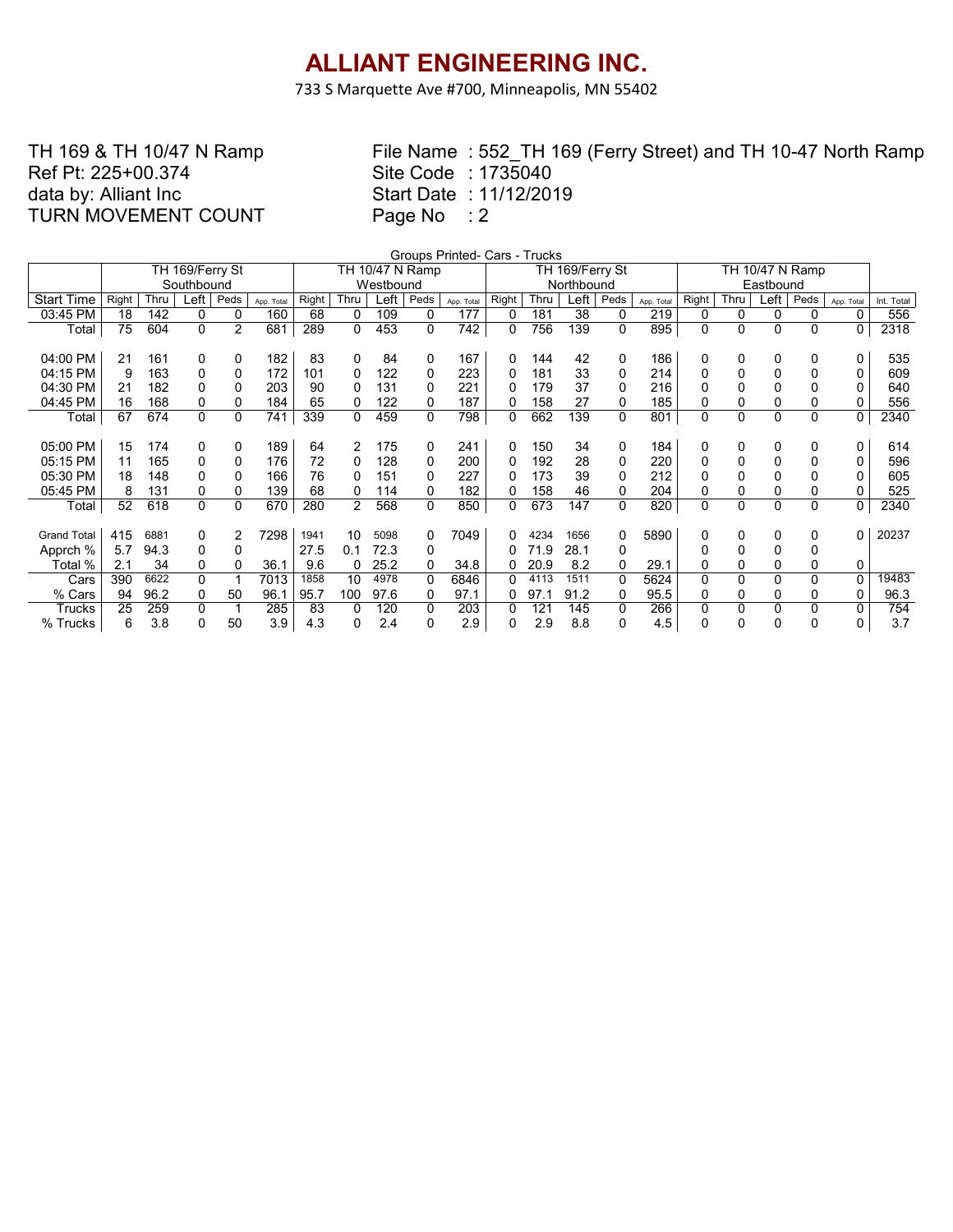733 S Marquette Ave #700, Minneapolis, MN 55402

### TH 169 & TH 10/47 N Ramp Ref Pt: 225+00.374 data by: Alliant Inc TURN MOVEMENT COUNT

|                    | Groups Printed- Cars - Trucks<br>TH 10/47 N Ramp |      |                 |                |            |       |                |           |                 |            |            |      |                 |          |            |       |                |              |                |             |            |
|--------------------|--------------------------------------------------|------|-----------------|----------------|------------|-------|----------------|-----------|-----------------|------------|------------|------|-----------------|----------|------------|-------|----------------|--------------|----------------|-------------|------------|
|                    |                                                  |      | TH 169/Ferry St |                |            |       |                |           | TH 10/47 N Ramp |            |            |      | TH 169/Ferry St |          |            |       |                |              |                |             |            |
|                    |                                                  |      | Southbound      |                |            |       |                | Westbound |                 |            | Northbound |      |                 |          |            |       |                |              |                |             |            |
| <b>Start Time</b>  | Right                                            | Thru | _eft            | Peds           | App. Total | Right | Thru           | Left      | Peds            | App. Total | Right      | Thru | Left            | Peds     | App. Total | Right | Thru           | Left         | Peds           | App. Total  | Int. Total |
| 03:45 PM           | 18                                               | 142  | 0               | 0              | 160        | 68    | 0              | 109       | 0               | 177        | 0          | 181  | 38              | 0        | 219        | 0     | 0              | 0            | 0              | 0           | 556        |
| Total              | 75                                               | 604  | 0               | $\overline{2}$ | 681        | 289   | 0              | 453       | 0               | 742        | 0          | 756  | 139             | 0        | 895        | 0     | 0              | $\mathbf{0}$ | $\Omega$       | 0           | 2318       |
|                    |                                                  |      |                 |                |            |       |                |           |                 |            |            |      |                 |          |            |       |                |              |                |             |            |
| 04:00 PM           | 21                                               | 161  | 0               | 0              | 182        | 83    | 0              | 84        | 0               | 167        | 0          | 144  | 42              | 0        | 186        | 0     | 0              | $\Omega$     | 0              | 0           | 535        |
| 04:15 PM           | 9                                                | 163  | 0               | 0              | 172        | 101   | 0              | 122       | 0               | 223        | 0          | 181  | 33              | 0        | 214        | 0     | 0              |              | 0              | 0           | 609        |
| 04:30 PM           | 21                                               | 182  | 0               | 0              | 203        | 90    |                | 131       | $\Omega$        | 221        |            | 179  | 37              | $\Omega$ | 216        | Ω     | 0              |              | 0              | 0           | 640        |
| 04:45 PM           | 16                                               | 168  | 0               | 0              | 184        | 65    | 0              | 122       | 0               | 187        | 0          | 158  | 27              | 0        | 185        | 0     | 0              | 0            | 0              | 0           | 556        |
| Total              | 67                                               | 674  | $\Omega$        | 0              | 741        | 339   | 0              | 459       | 0               | 798        | 0          | 662  | 139             | 0        | 801        | 0     | 0              | $\mathbf{0}$ | $\mathbf 0$    | $\mathbf 0$ | 2340       |
|                    |                                                  |      |                 |                |            |       |                |           |                 |            |            |      |                 |          |            |       |                |              |                |             |            |
| 05:00 PM           | 15                                               | 174  | 0               | 0              | 189        | 64    | 2              | 175       | 0               | 241        | 0          | 150  | 34              | 0        | 184        | 0     | $\Omega$       | 0            | 0              | 0           | 614        |
| 05:15 PM           | 11                                               | 165  | 0               | 0              | 176        | 72    | 0              | 128       | 0               | 200        | 0          | 192  | 28              | 0        | 220        | 0     | 0              |              | 0              | 0           | 596        |
| 05:30 PM           | 18                                               | 148  | $\Omega$        | 0              | 166        | 76    | 0              | 151       | 0               | 227        | 0          | 173  | 39              | 0        | 212        | 0     | 0              |              | 0              | 0           | 605        |
| 05:45 PM           | 8                                                | 131  | 0               | 0              | 139        | 68    | 0              | 114       | 0               | 182        | 0          | 158  | 46              | 0        | 204        | 0     | 0              | 0            | 0              | 0           | 525        |
| Total              | 52                                               | 618  | 0               | 0              | 670        | 280   | $\overline{2}$ | 568       | 0               | 850        | 0          | 673  | 147             | 0        | 820        | 0     | $\overline{0}$ | $\mathbf{0}$ | $\overline{0}$ | 0           | 2340       |
|                    |                                                  |      |                 |                |            |       |                |           |                 |            |            |      |                 |          |            |       |                |              |                |             |            |
| <b>Grand Total</b> | 415                                              | 6881 | 0               | 2              | 7298       | 1941  | 10             | 5098      | 0               | 7049       |            | 4234 | 1656            | 0        | 5890       | 0     | 0              | 0            | 0              | 0           | 20237      |
| Apprch %           | 5.7                                              | 94.3 | 0               | 0              |            | 27.5  | 0.1            | 72.3      | 0               |            |            | 71.9 | 28.1            | 0        |            | 0     | 0              |              | 0              |             |            |
| Total %            | 2.1                                              | 34   | 0               | 0              | 36.1       | 9.6   |                | 25.2      | 0               | 34.8       | 0          | 20.9 | 8.2             | 0        | 29.1       | 0     | 0              | 0            | 0              | 0           |            |
| Cars               | 390                                              | 6622 | $\Omega$        |                | 7013       | 1858  | 10             | 4978      | 0               | 6846       |            | 4113 | 1511            | $\Omega$ | 5624       | 0     | 0              | 0            | 0              | $\mathbf 0$ | 19483      |
| % Cars             | 94                                               | 96.2 | 0               | 50             | 96.1       | 95.7  | 100            | 97.6      | 0               | 97.1       | 0          | 97.1 | 91.2            | 0        | 95.5       | 0     | 0              | 0            | 0              | 0           | 96.3       |
| Trucks             | 25                                               | 259  | $\Omega$        |                | 285        | 83    |                | 120       | 0               | 203        |            | 121  | 145             | $\Omega$ | 266        | 0     | $\mathbf 0$    |              | 0              | 0           | 754        |
| % Trucks           | 6                                                | 3.8  | 0               | 50             | 3.9        | 4.3   |                | 2.4       | 0               | 2.9        | 0          | 2.9  | 8.8             | 0        | 4.5        | 0     | 0              | O            | 0              | 0           | 3.7        |
|                    |                                                  |      |                 |                |            |       |                |           |                 |            |            |      |                 |          |            |       |                |              |                |             |            |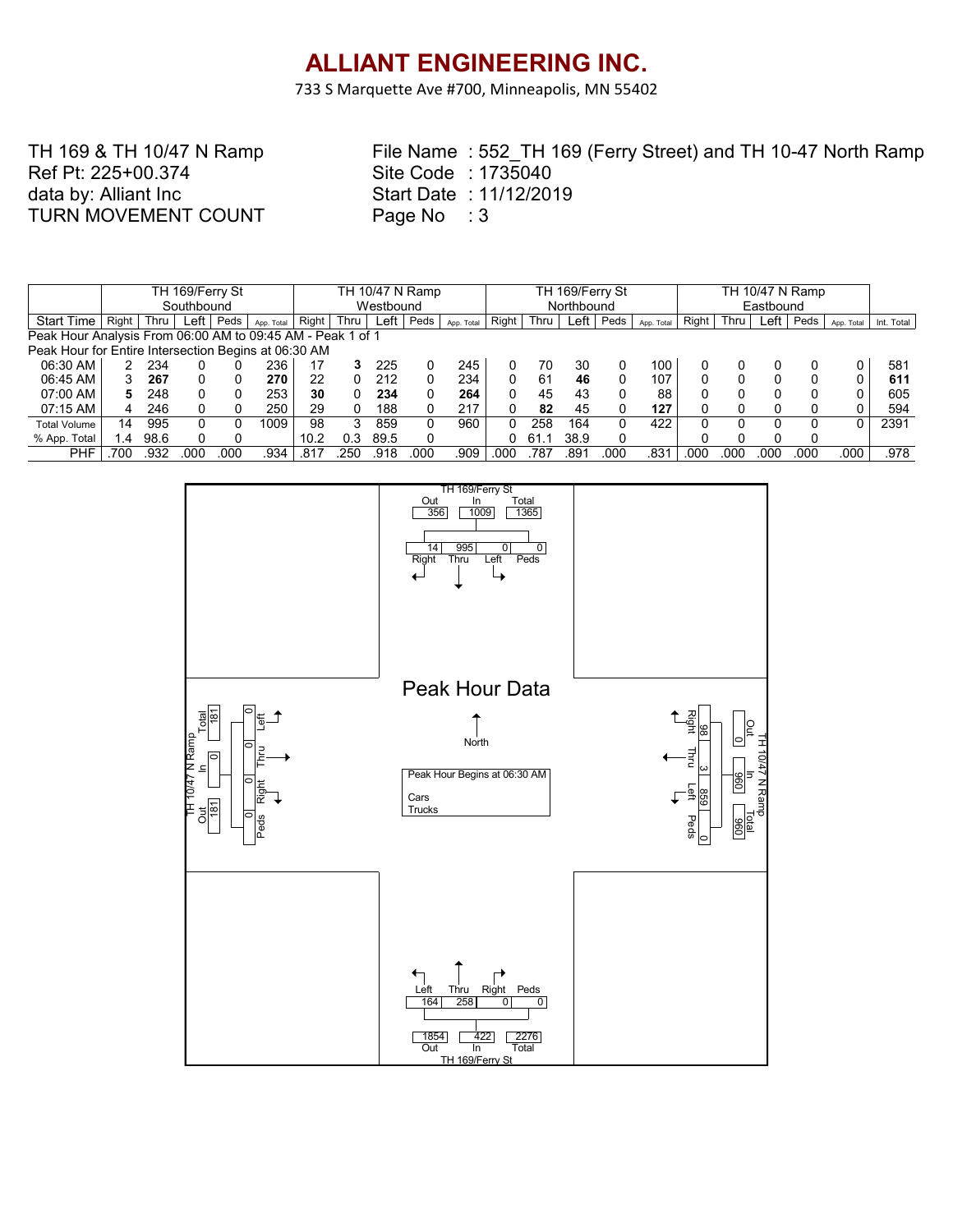733 S Marquette Ave #700, Minneapolis, MN 55402

TH 169 & TH 10/47 N Ramp Ref Pt: 225+00.374 data by: Alliant Inc TURN MOVEMENT COUNT

|                                                            |       |      | TH 169/Ferry St |      |            |           |      |      | TH 10/47 N Ramp |            |            |      | TH 169/Ferry St |      |                  |       |           |      |      |            |            |  |
|------------------------------------------------------------|-------|------|-----------------|------|------------|-----------|------|------|-----------------|------------|------------|------|-----------------|------|------------------|-------|-----------|------|------|------------|------------|--|
|                                                            |       |      | Southbound      |      |            | Westbound |      |      |                 |            | Northbound |      |                 |      |                  |       | Eastbound |      |      |            |            |  |
| <b>Start Time</b>                                          | Right | Thru | Left            | Peds | App. Total | Right     | Thru | Left | Peds            | App. Total | Right      | Thru | Left            | Peds | App. Total       | Right | Thru      | Left | Peds | App. Total | Int. Total |  |
| Peak Hour Analysis From 06:00 AM to 09:45 AM - Peak 1 of 1 |       |      |                 |      |            |           |      |      |                 |            |            |      |                 |      |                  |       |           |      |      |            |            |  |
| Peak Hour for Entire Intersection Begins at 06:30 AM       |       |      |                 |      |            |           |      |      |                 |            |            |      |                 |      |                  |       |           |      |      |            |            |  |
| 06:30 AM                                                   |       | 234  |                 |      | 236        | 17        |      | 225  |                 | 245        |            | 70   | 30              |      | 100              |       |           |      |      |            | 581        |  |
| 06:45 AM                                                   |       | 267  | 0               |      | 270        | 22        |      | 212  |                 | 234        |            | 61   | 46              | 0    | 107              |       |           |      | 0    | 0          | 611        |  |
| 07:00 AM                                                   | 5.    | 248  |                 |      | 253        | 30        |      | 234  |                 | 264        |            | 45   | 43              |      | 88               |       |           |      | 0    | 0          | 605        |  |
| 07:15 AM                                                   | 4     | 246  |                 |      | 250        | 29        |      | 188  |                 | 217        |            | 82   | 45              |      | 127              |       |           |      | 0    |            | 594        |  |
| <b>Total Volume</b>                                        | 14    | 995  |                 |      | 1009       | 98        |      | 859  |                 | 960        |            | 258  | 164             | 0    | 422              |       |           |      |      | U          | 2391       |  |
| % App. Total                                               | 1.4   | 98.6 |                 |      |            | 10.2      | ი ვ  | 89.5 |                 |            |            | 61   | 38.9            | 0    |                  |       |           |      | 0    |            |            |  |
| PHF                                                        | 700   | .932 | .00C            | .000 | .934       | .817      | 250  | .918 | 000             | .909       | .000       | 787  | 89′.            | 000  | .83 <sup>1</sup> | .000  | 000       | 00C  | 000  | .000       | .978       |  |

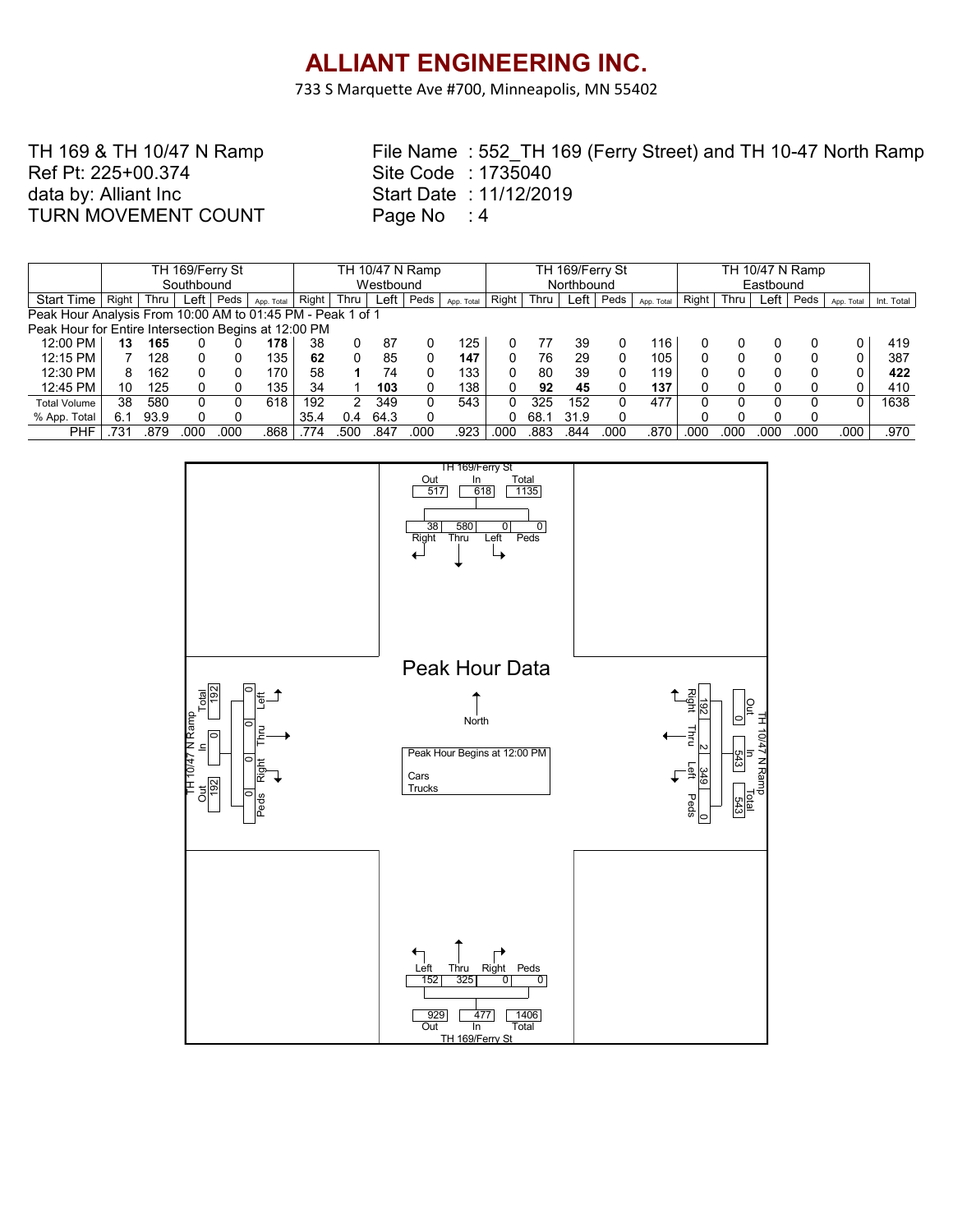733 S Marquette Ave #700, Minneapolis, MN 55402

### TH 169 & TH 10/47 N Ramp Ref Pt: 225+00.374 data by: Alliant Inc TURN MOVEMENT COUNT

|                                                            |       |      | TH 169/Ferry St |      |                  | TH 10/47 N Ramp |      |           |      |            | TH 169/Ferry St |      |            |      |            |       | TH 10/47 N Ramp |      |      |            |            |  |
|------------------------------------------------------------|-------|------|-----------------|------|------------------|-----------------|------|-----------|------|------------|-----------------|------|------------|------|------------|-------|-----------------|------|------|------------|------------|--|
|                                                            |       |      | Southbound      |      |                  |                 |      | Westbound |      |            |                 |      | Northbound |      |            |       |                 |      |      |            |            |  |
| <b>Start Time</b>                                          | Right | Thru | Left            | Peds | App. Total       | Right           | Thru | Left      | Peds | App. Total | Right           | Thru | ∟eft ⊑     | Peds | App. Total | Right | Thru            | Left | Peds | App. Total | Int. Total |  |
| Peak Hour Analysis From 10:00 AM to 01:45 PM - Peak 1 of 1 |       |      |                 |      |                  |                 |      |           |      |            |                 |      |            |      |            |       |                 |      |      |            |            |  |
| Peak Hour for Entire Intersection Begins at 12:00 PM       |       |      |                 |      |                  |                 |      |           |      |            |                 |      |            |      |            |       |                 |      |      |            |            |  |
| 12:00 PM                                                   | 13    | 165  |                 |      | 178              | 38              |      | 87        |      | 125        |                 |      | 39         |      | 116        |       |                 |      |      |            | 419        |  |
| 12:15 PM                                                   |       | 128  |                 |      | 135              | 62              |      | 85        |      | 147        |                 | 76   | 29         |      | 105        |       |                 |      |      | 0          | 387        |  |
| 12:30 PM                                                   | 8     | 162  |                 |      | 170              | 58              |      | 74        |      | 133        |                 | 80   | 39         |      | 119.       |       |                 |      | 0    | 0          | 422        |  |
| 12:45 PM                                                   | 10    | 125  |                 |      | 135 <sub>1</sub> | 34              |      | 103       |      | 138        |                 | 92   | 45         |      | 137        |       |                 |      |      |            | 410        |  |
| <b>Total Volume</b>                                        | 38    | 580  |                 |      | 618              | 192             |      | 349       | 0    | 543        |                 | 325  | 152        |      | 477        |       |                 |      |      | O.         | 1638       |  |
| % App. Total                                               | 6.1   | 93.9 |                 |      |                  | 35.4            | 0.4  | 64.3      |      |            |                 | 68.1 | 31.9       |      |            |       |                 |      | 0    |            |            |  |
| PHF                                                        | 731   | .879 | 00C             | 00C  | .868             | .774            | .500 | .847      | 000  | .923       | .000            | 883  | .844       | .000 | 870        | .000  | 000             | 00C  | 000  | .000       | .970       |  |